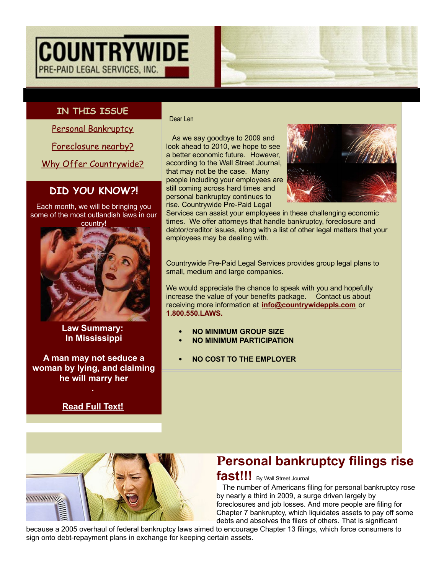# **COUNTRYWIDE** PRE-PAID LEGAL SERVICES, INC.

## **IN THIS ISSUE**

Personal [Bankruptcy](http://ui.constantcontact.com/visualeditor/visual_editor_preview.jsp?agent.uid=1102929213676&format=html&printFrame=true#LETTER.BLOCK8)

[Foreclosure](http://ui.constantcontact.com/visualeditor/visual_editor_preview.jsp?agent.uid=1102929213676&format=html&printFrame=true#LETTER.BLOCK30) nearby?

Why Offer [Countrywide?](http://ui.constantcontact.com/visualeditor/visual_editor_preview.jsp?agent.uid=1102929213676&format=html&printFrame=true#LETTER.BLOCK14)

## **DID YOU KNOW?!**

Each month, we will be bringing you some of the most outlandish laws in our country!



**Law Summary: In Mississippi**

**A man may not seduce a woman by lying, and claiming he will marry her .**

**[Read](http://rs6.net/tn.jsp?t=mhoi8fdab.0.0.wqut8kcab.0&ts=S0443&p=http%3A%2F%2Fwww.countrywideppls.com%2Fblog%2Findex.php%2Ffunny-laws%2Fin-mississippi%2F&id=preview) Full Text!**

Dear Len

As we say goodbye to 2009 and look ahead to 2010, we hope to see a better economic future. However, according to the Wall Street Journal, that may not be the case. Many people including your employees are still coming across hard times and personal bankruptcy continues to rise. Countrywide Pre-Paid Legal



Services can assist your employees in these challenging economic times. We offer attorneys that handle bankruptcy, foreclosure and debtor/creditor issues, along with a list of other legal matters that your employees may be dealing with.

Countrywide Pre-Paid Legal Services provides group legal plans to small, medium and large companies.

We would appreciate the chance to speak with you and hopefully increase the value of your benefits package. Contact us about receiving more information at **[info@countrywideppls.com](mailto:info@countrywideppls.com)** or **1.800.550.LAWS.**

- **NO MINIMUM GROUP SIZE**
- **NO MINIMUM PARTICIPATION**
- **NO COST TO THE EMPLOYER**



## **Personal bankruptcy filings rise** fast!!! By Wall Street Journal

The number of Americans filing for personal bankruptcy rose by nearly a third in 2009, a surge driven largely by foreclosures and job losses. And more people are filing for Chapter 7 bankruptcy, which liquidates assets to pay off some debts and absolves the filers of others. That is significant

because a 2005 overhaul of federal bankruptcy laws aimed to encourage Chapter 13 filings, which force consumers to sign onto debt-repayment plans in exchange for keeping certain assets.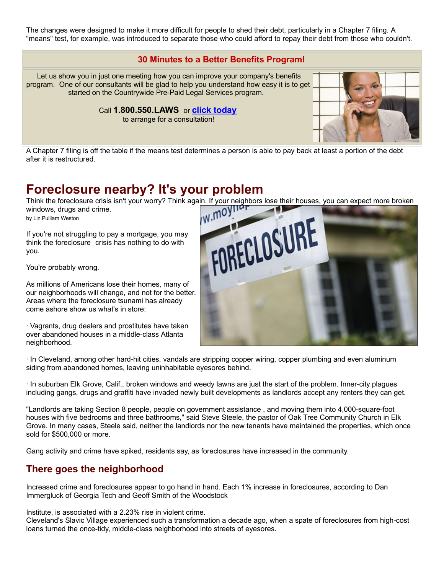The changes were designed to make it more difficult for people to shed their debt, particularly in a Chapter 7 filing. A "means" test, for example, was introduced to separate those who could afford to repay their debt from those who couldn't.

#### **30 Minutes to a Better Benefits Program!**

Let us show you in just one meeting how you can improve your company's benefits program. One of our consultants will be glad to help you understand how easy it is to get started on the Countrywide Pre-Paid Legal Services program.

Call **1.800.550.LAWS** or **click [today](http://rs6.net/tn.jsp?t=mhoi8fdab.0.0.wqut8kcab.0&ts=S0443&p=http%3A%2F%2Fwww.countrywideppls.com%2Fcontact.php&id=preview)**

to arrange for a consultation!



A Chapter 7 filing is off the table if the means test determines a person is able to pay back at least a portion of the debt after it is restructured.

## **Foreclosure nearby? It's your problem**

windows, drugs and crime.

by Liz Pulliam Weston

If you're not struggling to pay a mortgage, you may think the foreclosure crisis has nothing to do with you.

You're probably wrong.

As millions of Americans lose their homes, many of our neighborhoods will change, and not for the better. Areas where the foreclosure tsunami has already come ashore show us what's in store:

· Vagrants, drug dealers and prostitutes have taken over abandoned houses in a middle-class Atlanta neighborhood.



· In Cleveland, among other hard-hit cities, vandals are stripping copper wiring, copper plumbing and even aluminum siding from abandoned homes, leaving uninhabitable eyesores behind.

· In suburban Elk Grove, Calif., broken windows and weedy lawns are just the start of the problem. Inner-city plagues including gangs, drugs and graffiti have invaded newly built developments as landlords accept any renters they can get.

"Landlords are taking Section 8 people, people on government assistance , and moving them into 4,000-square-foot houses with five bedrooms and three bathrooms," said Steve Steele, the pastor of Oak Tree Community Church in Elk Grove. In many cases, Steele said, neither the landlords nor the new tenants have maintained the properties, which once sold for \$500,000 or more.

Gang activity and crime have spiked, residents say, as foreclosures have increased in the community.

### **There goes the neighborhood**

Increased crime and foreclosures appear to go hand in hand. Each 1% increase in foreclosures, according to Dan Immergluck of Georgia Tech and Geoff Smith of the Woodstock

Institute, is associated with a 2.23% rise in violent crime.

Cleveland's Slavic Village experienced such a transformation a decade ago, when a spate of foreclosures from high-cost loans turned the once-tidy, middle-class neighborhood into streets of eyesores.